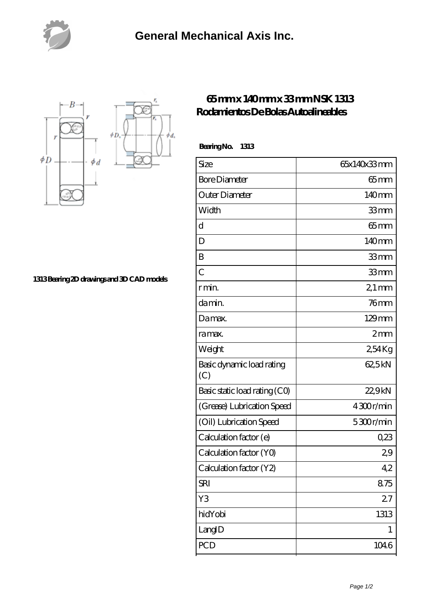



**[1313 Bearing 2D drawings and 3D CAD models](https://nfbxa.com/pic-64785053.html)**

## **[65 mm x 140 mm x 33 mm NSK 1313](https://nfbxa.com/at-64785053-nsk-1313-rodamientos-de-bolas-autoalineables.html) [Rodamientos De Bolas Autoalineables](https://nfbxa.com/at-64785053-nsk-1313-rodamientos-de-bolas-autoalineables.html)**

 **Bearing No. 1313**

| Size                             | 65x140x33mm        |
|----------------------------------|--------------------|
| <b>Bore Diameter</b>             | $65$ mm            |
| Outer Diameter                   | 140mm              |
| Width                            | 33mm               |
| $\mathbf d$                      | $65$ mm            |
| D                                | 140mm              |
| B                                | 33mm               |
| $\overline{C}$                   | 33mm               |
| r min.                           | $21 \,\mathrm{mm}$ |
| damin.                           | $76$ mm            |
| Damax.                           | $129$ mm           |
| ra max.                          | 2mm                |
| Weight                           | 254Kg              |
| Basic dynamic load rating<br>(C) | 62,5kN             |
| Basic static load rating (CO)    | 22,9kN             |
| (Grease) Lubrication Speed       | 4300r/min          |
| (Oil) Lubrication Speed          | 5300r/min          |
| Calculation factor (e)           | 0,23               |
| Calculation factor (YO)          | 29                 |
| Calculation factor (Y2)          | 42                 |
| <b>SRI</b>                       | 875                |
| Y3                               | 27                 |
| hidYobi                          | 1313               |
| LangID                           | 1                  |
| <b>PCD</b>                       | 1046               |